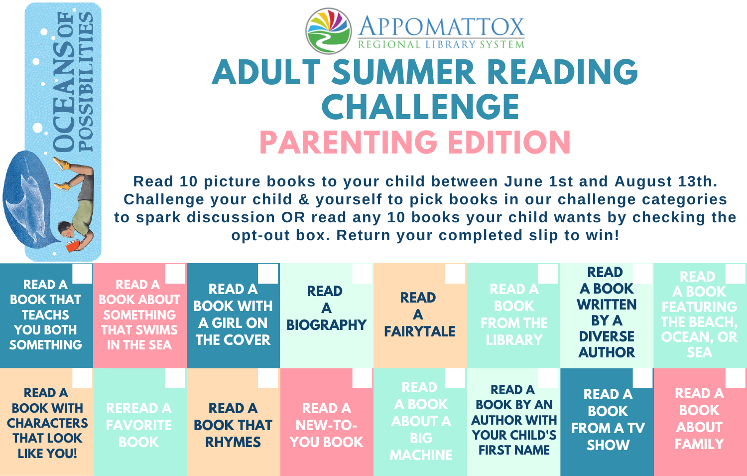

## **ADULT SUMMER READING CHALLENGE PARENTING EDITION**

**Read 10 picture books to your child between June 1st and August 13th. Challenge your child & yourself to pick books in our challenge categories to spark discussion OR read any 10 books your child wants by checking the opt-out box. Return your completed slip to win!**

| <b>READ A</b><br><b>BOOK THAT</b><br><b>TEACHS</b><br><b>YOU BOTH</b><br><b>SOMETHING</b>      | <b>READA</b><br><b>BOOK ABOUT</b><br><b>SOMETHING</b><br><b>THAT SWIMS</b><br><b>IN THE SEA</b> | <b>READ A</b><br><b>BOOK WITH</b><br><b>A GIRL ON</b><br><b>THE COVER</b> | <b>READ</b><br>А<br><b>BIOGRAPHY</b>        | <b>READ</b><br>А<br><b>FAIRYTALE</b>                                    | <b>READ AT</b><br><b>BOOK</b><br><b>FROM THE</b><br><b>LIBRARY</b>                                   | <b>READ</b><br><b>A BOOK</b><br><b>WRITTEN</b><br><b>BY A</b><br><b>DIVERSE</b><br><b>AUTHOR</b> | <b>READ</b><br><b>A BOOK</b><br><b>FEATURING</b><br><b>THE BEACH,</b><br><b>OCEAN, OR</b><br><b>SEA</b> |
|------------------------------------------------------------------------------------------------|-------------------------------------------------------------------------------------------------|---------------------------------------------------------------------------|---------------------------------------------|-------------------------------------------------------------------------|------------------------------------------------------------------------------------------------------|--------------------------------------------------------------------------------------------------|---------------------------------------------------------------------------------------------------------|
| <b>READ A</b><br><b>BOOK WITH</b><br><b>CHARACTERS</b><br><b>THAT LOOK</b><br><b>LIKE YOU!</b> | <b>REREAD A</b><br><b>FAVORITE</b><br><b>BOOK</b>                                               | <b>READ A</b><br><b>BOOK THAT</b><br><b>RHYMES</b>                        | <b>READ A</b><br>NEW-TO-<br><b>YOU BOOK</b> | <b>READ</b><br>A BOOK<br><b>ABOUT A</b><br><b>BIG</b><br><b>MACHINE</b> | <b>READ A</b><br><b>BOOK BY AN</b><br><b>AUTHOR WITH</b><br><b>YOUR CHILD'S</b><br><b>FIRST NAME</b> | <b>READ A</b><br><b>BOOK</b><br><b>FROM A TV</b><br><b>SHOW</b>                                  | <b>READ A</b><br><b>BOOK</b><br><b>ABOUT</b><br><b>FAMILY</b>                                           |